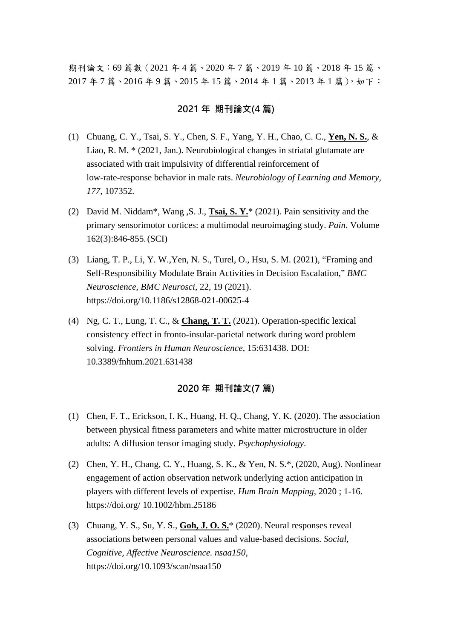期刊論文:69 篇數(2021 年 4 篇、2020 年 7 篇、2019 年 10 篇、2018 年 15 篇、 2017 年 7 篇、2016 年 9 篇、2015 年 15 篇、2014 年 1 篇、2013 年 1 篇),如下:

#### **2021 年 期刊論文(4 篇)**

- (1) Chuang, C. Y., Tsai, S. Y., Chen, S. F., Yang, Y. H., Chao, C. C., **Yen, N. S.**, & Liao, R. M. \* (2021, Jan.). Neurobiological changes in striatal glutamate are associated with trait impulsivity of differential reinforcement of low-rate-response behavior in male rats. *Neurobiology of Learning and Memory, 177,* 107352.
- (2) David M. Niddam\*, Wang ,S. J., **Tsai, S. Y.**\* (2021). Pain sensitivity and the primary sensorimotor cortices: a multimodal neuroimaging study. *Pain*. Volume 162(3):846-855.(SCI)
- (3) Liang, T. P., Li, Y. W.,Yen, N. S., Turel, O., Hsu, S. M. (2021), "Framing and Self-Responsibility Modulate Brain Activities in Decision Escalation," *BMC Neuroscience*, *BMC Neurosci*, 22, 19 (2021). https://doi.org/10.1186/s12868-021-00625-4
- (4) Ng, C. T., Lung, T. C., & **Chang, T. T.** (2021). Operation-specific lexical consistency effect in fronto-insular-parietal network during word problem solving. *Frontiers in Human Neuroscience*, 15:631438. DOI: 10.3389/fnhum.2021.631438

# **2020 年 期刊論文(7 篇)**

- (1) Chen, F. T., Erickson, I. K., Huang, H. Q., Chang, Y. K. (2020). The association between physical fitness parameters and white matter microstructure in older adults: A diffusion tensor imaging study. *Psychophysiology*.
- (2) Chen, Y. H., Chang, C. Y., Huang, S. K., & Yen, N. S.\*, (2020, Aug). Nonlinear engagement of action observation network underlying action anticipation in players with different levels of expertise. *Hum Brain Mapping*, 2020 ; 1-16. https://doi.org/ 10.1002/hbm.25186
- (3) Chuang, Y. S., Su, Y. S., **Goh, J. O. S.**\* (2020). Neural responses reveal associations between personal values and value-based decisions. *Social, Cognitive, Affective Neuroscience. nsaa150*, https://doi.org/10.1093/scan/nsaa150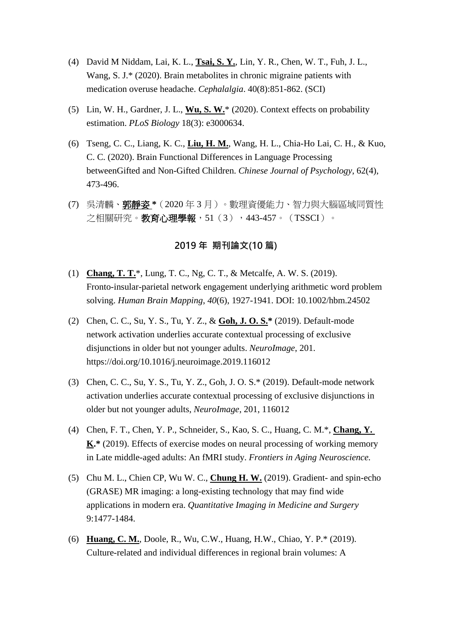- (4) David M Niddam, Lai, K. L., **Tsai, S. Y.**, Lin, Y. R., Chen, W. T., Fuh, J. L., Wang, S. J.\* (2020). Brain metabolites in chronic migraine patients with medication overuse headache. *Cephalalgia*. 40(8):851-862. (SCI)
- (5) Lin, W. H., Gardner, J. L., **Wu, S. W.**\* (2020). Context effects on probability estimation. *PLoS Biology* 18(3): e3000634.
- (6) Tseng, C. C., Liang, K. C., **Liu, H. M.**, Wang, H. L., Chia-Ho Lai, C. H., & Kuo, C. C. (2020). Brain Functional Differences in Language Processing betweenGifted and Non-Gifted Children. *Chinese Journal of Psychology*, 62(4), 473-496.
- (7) 吳清麟、郭靜姿 **\***(2020 年 3 月)。數理資優能力、智力與大腦區域同質性 之相關研究。**教育心理學報**, 51(3), 443-457。(TSSCI)。

# **2019 年 期刊論文(10 篇)**

- (1) **Chang, T. T.**\*, Lung, T. C., Ng, C. T., & Metcalfe, A. W. S. (2019). Fronto-insular-parietal network engagement underlying arithmetic word problem solving. *Human Brain Mapping*, *40*(6), 1927-1941. DOI: 10.1002/hbm.24502
- (2) Chen, C. C., Su, Y. S., Tu, Y. Z., & **Goh, J. O. S.\*** (2019). Default-mode network activation underlies accurate contextual processing of exclusive disjunctions in older but not younger adults. *NeuroImage*, 201. https://doi.org/10.1016/j.neuroimage.2019.116012
- (3) Chen, C. C., Su, Y. S., Tu, Y. Z., Goh, J. O. S.\* (2019). Default-mode network activation underlies accurate contextual processing of exclusive disjunctions in older but not younger adults, *NeuroImage*, 201, 116012
- (4) Chen, F. T., Chen, Y. P., Schneider, S., Kao, S. C., Huang, C. M.\*, **Chang, Y. K.\*** (2019). Effects of exercise modes on neural processing of working memory in Late middle-aged adults: An fMRI study. *Frontiers in Aging Neuroscience.*
- (5) Chu M. L., Chien CP, Wu W. C., **Chung H. W.** (2019). Gradient- and spin-echo (GRASE) MR imaging: a long-existing technology that may find wide applications in modern era. *Quantitative Imaging in Medicine and Surgery* 9:1477-1484.
- (6) **Huang, C. M.**, Doole, R., Wu, C.W., Huang, H.W., Chiao, Y. P.\* (2019). Culture-related and individual differences in regional brain volumes: A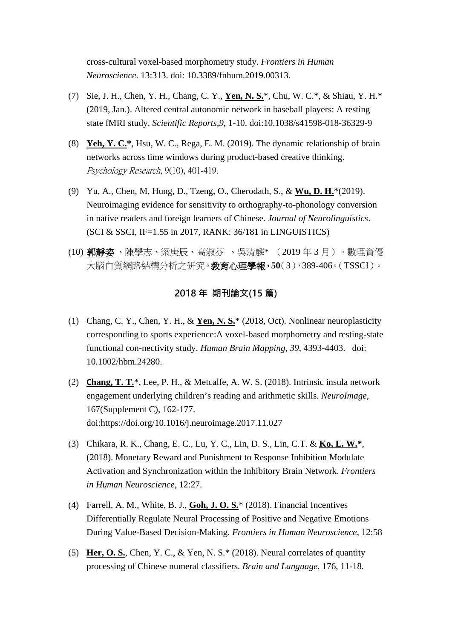cross-cultural voxel-based morphometry study. *Frontiers in Human Neuroscience*. 13:313. doi: 10.3389/fnhum.2019.00313.

- (7) Sie, J. H., Chen, Y. H., Chang, C. Y., **Yen, N. S.**\*, Chu, W. C.\*, & Shiau, Y. H.\* (2019, Jan.). Altered central autonomic network in baseball players: A resting state fMRI study. *Scientific Reports,9*, 1-10. doi:10.1038/s41598-018-36329-9
- (8) **Yeh, Y. C.\***, Hsu, W. C., Rega, E. M. (2019). The dynamic relationship of brain networks across time windows during product-based creative thinking. Psychology Research, 9(10), 401-419.
- (9) Yu, A., Chen, M, Hung, D., Tzeng, O., Cherodath, S., & **Wu, D. H.**\*(2019). Neuroimaging evidence for sensitivity to orthography-to-phonology conversion in native readers and foreign learners of Chinese. *Journal of Neurolinguistics*. (SCI & SSCI, IF=1.55 in 2017, RANK: 36/181 in LINGUISTICS)
- (10) 郭靜姿 、陳學志、梁庚辰、高淑芬 、吳清麟\* (2019 年 3 月)。數理資優 大腦白質網路結構分析之研究。教育心理學報,**50**(3),389-406。(TSSCI)。

## **2018 年 期刊論文(15 篇)**

- (1) Chang, C. Y., Chen, Y. H., & **Yen, N. S.**\* (2018, Oct). Nonlinear neuroplasticity corresponding to sports experience:A voxel-based morphometry and resting-state functional con-nectivity study. *Human Brain Mapping, 39*, 4393-4403. doi: 10.1002/hbm.24280.
- (2) **Chang, T. T.**\*, Lee, P. H., & Metcalfe, A. W. S. (2018). Intrinsic insula network engagement underlying children's reading and arithmetic skills. *NeuroImage*, 167(Supplement C), 162-177. doi:https://doi.org/10.1016/j.neuroimage.2017.11.027
- (3) Chikara, R. K., Chang, E. C., Lu, Y. C., Lin, D. S., Lin, C.T. & **Ko, L. W.\***, (2018). Monetary Reward and Punishment to Response Inhibition Modulate Activation and Synchronization within the Inhibitory Brain Network. *Frontiers in Human Neuroscience*, 12:27.
- (4) Farrell, A. M., White, B. J., **Goh, J. O. S.**\* (2018). Financial Incentives Differentially Regulate Neural Processing of Positive and Negative Emotions During Value-Based Decision-Making. *Frontiers in Human Neuroscience*, 12:58
- (5) **Her, O. S.**, Chen, Y. C., & Yen, N. S.\* (2018). Neural correlates of quantity processing of Chinese numeral classifiers. *Brain and Language*, 176, 11-18.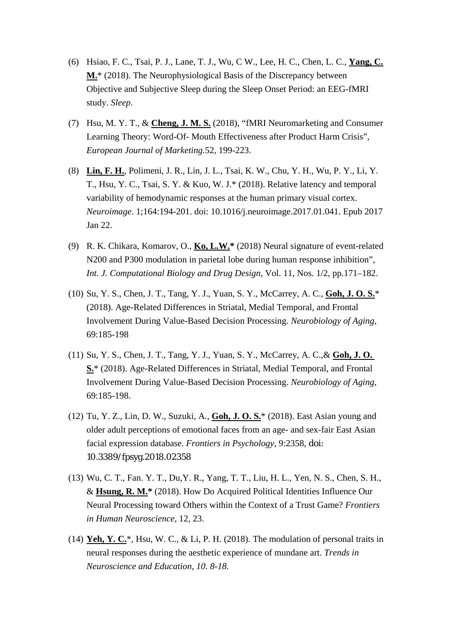- (6) Hsiao, F. C., Tsai, P. J., Lane, T. J., Wu, C W., Lee, H. C., Chen, L. C., **Yang, C. M.**\* (2018). The Neurophysiological Basis of the Discrepancy between Objective and Subjective Sleep during the Sleep Onset Period: an EEG-fMRI study. *Sleep*.
- (7) Hsu, M. Y. T., & **Cheng, J. M. S.** (2018), "fMRI Neuromarketing and Consumer Learning Theory: Word-Of- Mouth Effectiveness after Product Harm Crisis", *European Journal of Marketing.*52, 199-223.
- (8) **Lin, F. H.**, Polimeni, J. R., Lin, J. L., Tsai, K. W., Chu, Y. H., Wu, P. Y., Li, Y. T., Hsu, Y. C., Tsai, S. Y. & Kuo, W. J.\* (2018). Relative latency and temporal variability of hemodynamic responses at the human primary visual cortex. *Neuroimage*. 1;164:194-201. doi: 10.1016/j.neuroimage.2017.01.041. Epub 2017 Jan 22.
- (9) R. K. Chikara, Komarov, O., **Ko, L.W.\*** (2018) Neural signature of event-related N200 and P300 modulation in parietal lobe during human response inhibition", *Int. J. Computational Biology and Drug Design*, Vol. 11, Nos. 1/2, pp.171–182.
- (10) Su, Y. S., Chen, J. T., Tang, Y. J., Yuan, S. Y., McCarrey, A. C., **Goh, J. O. S.**\* (2018). Age-Related Differences in Striatal, Medial Temporal, and Frontal Involvement During Value-Based Decision Processing. *Neurobiology of Aging*, 69:185-198
- (11) Su, Y. S., Chen, J. T., Tang, Y. J., Yuan, S. Y., McCarrey, A. C.,& **Goh, J. O. S.**\* (2018). Age-Related Differences in Striatal, Medial Temporal, and Frontal Involvement During Value-Based Decision Processing. *Neurobiology of Aging*, 69:185-198.
- (12) Tu, Y. Z., Lin, D. W., Suzuki, A., **Goh, J. O. S.**\* (2018). East Asian young and older adult perceptions of emotional faces from an age- and sex-fair East Asian facial expression database. *Frontiers in Psychology,* 9:2358, doi: 10.3389/fpsyg.2018.02358
- (13) Wu, C. T., Fan. Y. T., Du,Y. R., Yang, T. T., Liu, H. L., Yen, N. S., Chen, S. H., & **Hsung, R. M.\*** (2018). How Do Acquired Political Identities Influence Our Neural Processing toward Others within the Context of a Trust Game? *Frontiers in Human Neuroscience*, 12, 23.
- (14) **Yeh, Y. C.**\*, Hsu, W. C., & Li, P. H. (2018). The modulation of personal traits in neural responses during the aesthetic experience of mundane art. *Trends in Neuroscience and Education, 10. 8-18.*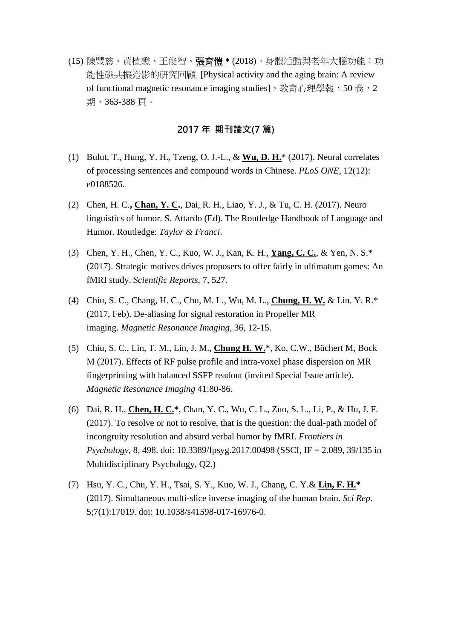(15) 陳豐慈、黃植懋、王俊智、**張育愷** \* (2018)。身體活動與老年大腦功能: 功 能性磁共振造影的研究回顧 [Physical activity and the aging brain: A review of functional magnetic resonance imaging studies]。教育心理學報,50 卷,2 期,363-388 頁。

### **2017 年 期刊論文(7 篇)**

- (1) Bulut, T., Hung, Y. H., Tzeng, O. J.-L., & **Wu, D. H.**\* (2017). Neural correlates of processing sentences and compound words in Chinese. *PLoS ONE*, 12(12): e0188526.
- (2) Chen, H. C.**, Chan, Y. C.**, Dai, R. H., Liao, Y. J., & Tu, C. H. (2017). Neuro linguistics of humor. S. Attardo (Ed). The Routledge Handbook of Language and Humor. Routledge: *Taylor & Franci*.
- (3) Chen, Y. H., Chen, Y. C., Kuo, W. J., Kan, K. H., **Yang, C. C.**, & Yen, N. S.\* (2017). Strategic motives drives proposers to offer fairly in ultimatum games: An fMRI study. *Scientific Reports*, 7, 527.
- (4) Chiu, S. C., Chang, H. C., Chu, M. L., Wu, M. L., **Chung, H. W.** & Lin. Y. R.\* (2017, Feb). De-aliasing for signal restoration in Propeller MR imaging. *Magnetic Resonance Imaging*, 36, 12-15.
- (5) Chiu, S. C., Lin, T. M., Lin, J. M., **Chung H. W.**\*, Ko, C.W., Büchert M, Bock M (2017). Effects of RF pulse profile and intra-voxel phase dispersion on MR fingerprinting with balanced SSFP readout (invited Special Issue article). *Magnetic Resonance Imaging* 41:80-86.
- (6) Dai, R. H., **Chen, H. C.\***, Chan, Y. C., Wu, C. L., Zuo, S. L., Li, P., & Hu, J. F. (2017). To resolve or not to resolve, that is the question: the dual-path model of incongruity resolution and absurd verbal humor by fMRI. *Frontiers in Psychology*, 8, 498. doi: 10.3389/fpsyg.2017.00498 (SSCI, IF = 2.089, 39/135 in Multidisciplinary Psychology, Q2.)
- (7) Hsu, Y. C., Chu, Y. H., Tsai, S. Y., Kuo, W. J., Chang, C. Y.& **Lin, F. H.\*** (2017). Simultaneous multi-slice inverse imaging of the human brain. *Sci Rep*. 5;7(1):17019. doi: 10.1038/s41598-017-16976-0.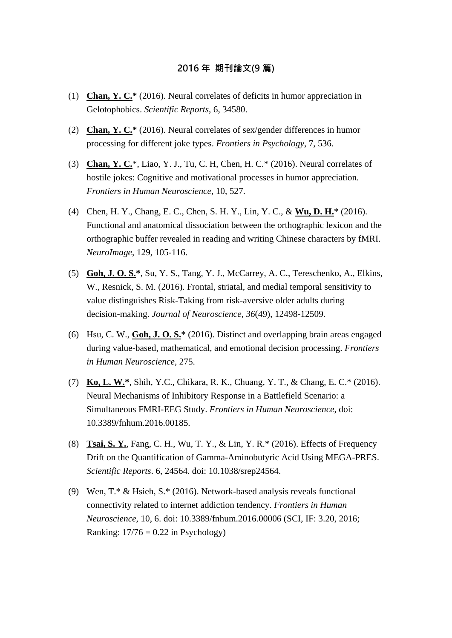#### **2016 年 期刊論文(9 篇)**

- (1) **Chan, Y. C.\*** (2016). Neural correlates of deficits in humor appreciation in Gelotophobics. *Scientific Reports*, 6, 34580.
- (2) **Chan, Y. C.\*** (2016). Neural correlates of sex/gender differences in humor processing for different joke types. *Frontiers in Psychology*, 7, 536.
- (3) **Chan, Y. C.**\*, Liao, Y. J., Tu, C. H, Chen, H. C.\* (2016). Neural correlates of hostile jokes: Cognitive and motivational processes in humor appreciation. *Frontiers in Human Neuroscience*, 10, 527.
- (4) Chen, H. Y., Chang, E. C., Chen, S. H. Y., Lin, Y. C., & **Wu, D. H.**\* (2016). Functional and anatomical dissociation between the orthographic lexicon and the orthographic buffer revealed in reading and writing Chinese characters by fMRI. *NeuroImage*, 129, 105-116.
- (5) **Goh, J. O. S.\***, Su, Y. S., Tang, Y. J., McCarrey, A. C., Tereschenko, A., Elkins, W., Resnick, S. M. (2016). Frontal, striatal, and medial temporal sensitivity to value distinguishes Risk-Taking from risk-aversive older adults during decision-making. *Journal of Neuroscience, 36*(49), 12498-12509.
- (6) Hsu, C. W., **Goh, J. O. S.**\* (2016). Distinct and overlapping brain areas engaged during value-based, mathematical, and emotional decision processing. *Frontiers in Human Neuroscience,* 275.
- (7) **Ko, L. W.\***, Shih, Y.C., Chikara, R. K., Chuang, Y. T., & Chang, E. C.\* (2016). Neural Mechanisms of Inhibitory Response in a Battlefield Scenario: a Simultaneous FMRI-EEG Study. *Frontiers in Human Neuroscience*, doi: 10.3389/fnhum.2016.00185.
- (8) **Tsai, S. Y.**, Fang, C. H., Wu, T. Y., & Lin, Y. R.\* (2016). Effects of Frequency Drift on the Quantification of Gamma-Aminobutyric Acid Using MEGA-PRES. *Scientific Reports*. 6, 24564. doi: 10.1038/srep24564.
- (9) Wen, T.\* & Hsieh, S.\* (2016). Network-based analysis reveals functional connectivity related to internet addiction tendency. *Frontiers in Human Neuroscience*, 10, 6. doi: 10.3389/fnhum.2016.00006 (SCI, IF: 3.20, 2016; Ranking:  $17/76 = 0.22$  in Psychology)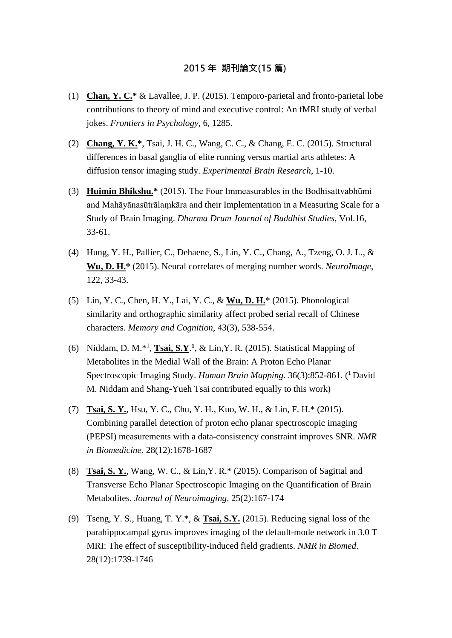# **2015 年 期刊論文(15 篇)**

- (1) **Chan, Y. C.\*** & Lavallee, J. P. (2015). Temporo-parietal and fronto-parietal lobe contributions to theory of mind and executive control: An fMRI study of verbal jokes. *Frontiers in Psychology*, 6, 1285.
- (2) **Chang, Y. K.\***, Tsai, J. H. C., Wang, C. C., & Chang, E. C. (2015). Structural differences in basal ganglia of elite running versus martial arts athletes: A diffusion tensor imaging study. *Experimental Brain Research*, 1-10.
- (3) **Huimin Bhikshu.\*** (2015). The Four Immeasurables in the Bodhisattvabhūmi and Mahāyānasūtrālaṃkāra and their Implementation in a Measuring Scale for a Study of Brain Imaging. *Dharma Drum Journal of Buddhist Studies,* Vol.16, 33-61.
- (4) Hung, Y. H., Pallier, C., Dehaene, S., Lin, Y. C., Chang, A., Tzeng, O. J. L., & **Wu, D. H.\*** (2015). Neural correlates of merging number words. *NeuroImage*, 122, 33-43.
- (5) Lin, Y. C., Chen, H. Y., Lai, Y. C., & **Wu, D. H.**\* (2015). Phonological similarity and orthographic similarity affect probed serial recall of Chinese characters. *Memory and Cognition*, 43(3), 538-554.
- (6) Niddam, D. M.\*1 , **Tsai, S.Y**. **<sup>1</sup>**, & Lin,Y. R. (2015). Statistical Mapping of Metabolites in the Medial Wall of the Brain: A Proton Echo Planar Spectroscopic Imaging Study. *Human Brain Mapping*. 36(3):852-861. (<sup>1</sup> David M. Niddam and Shang-Yueh Tsai contributed equally to this work)
- (7) **Tsai, S. Y.**, Hsu, Y. C., Chu, Y. H., Kuo, W. H., & Lin, F. H.\* (2015). Combining parallel detection of proton echo planar spectroscopic imaging (PEPSI) measurements with a data-consistency constraint improves SNR. *NMR in Biomedicine*. 28(12):1678-1687
- (8) **Tsai, S. Y.**, Wang, W. C., & Lin,Y. R.\* (2015). Comparison of Sagittal and Transverse Echo Planar Spectroscopic Imaging on the Quantification of Brain Metabolites. *Journal of Neuroimaging*. 25(2):167-174
- (9) Tseng, Y. S., Huang, T. Y.\*, & **Tsai, S.Y.** (2015). Reducing signal loss of the parahippocampal gyrus improves imaging of the default-mode network in 3.0 T MRI: The effect of susceptibility-induced field gradients. *NMR in Biomed*. 28(12):1739-1746